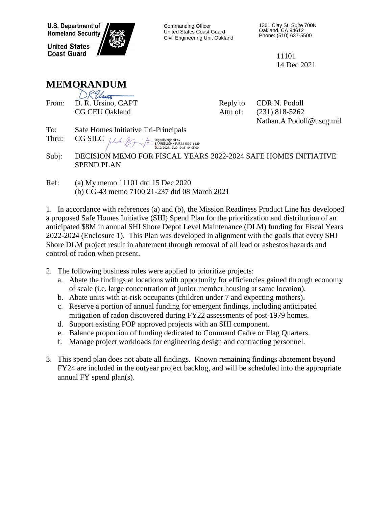**U.S. Department of Homeland Security** 

**United States Coast Guard** 



Commanding Officer United States Coast Guard Civil Engineering Unit Oakland 1301 Clay St, Suite 700N Oakland, CA 94612 Phone: (510) 637-5500

> 11101 14 Dec 2021

## **MEMORANDUM**

| JK Ussin                    |
|-----------------------------|
| D. R. Ursino, CAPT<br>From: |
| <b>CG CEU Oakland</b>       |
|                             |

Reply to CDR N. Podoll Attn of: (231) 818-5262

Nathan.A.Podoll@uscg.mil

To: Safe Homes Initiative Tri-Principals

Thru:  $CG SILC$  /ch A. M. Digitally signed by BARRESI.JOHN.F.JRII.1187016629 Date: 2021.12.20 10:35:10 -05'00'

Subj: DECISION MEMO FOR FISCAL YEARS 2022-2024 SAFE HOMES INITIATIVE SPEND PLAN

Ref: (a) My memo 11101 dtd 15 Dec 2020 (b) CG-43 memo 7100 21-237 dtd 08 March 2021

1. In accordance with references (a) and (b), the Mission Readiness Product Line has developed a proposed Safe Homes Initiative (SHI) Spend Plan for the prioritization and distribution of an anticipated \$8M in annual SHI Shore Depot Level Maintenance (DLM) funding for Fiscal Years 2022-2024 (Enclosure 1). This Plan was developed in alignment with the goals that every SHI Shore DLM project result in abatement through removal of all lead or asbestos hazards and control of radon when present.

- 2. The following business rules were applied to prioritize projects:
	- a. Abate the findings at locations with opportunity for efficiencies gained through economy of scale (i.e. large concentration of junior member housing at same location).
	- b. Abate units with at-risk occupants (children under 7 and expecting mothers).
	- c. Reserve a portion of annual funding for emergent findings, including anticipated mitigation of radon discovered during FY22 assessments of post-1979 homes.
	- d. Support existing POP approved projects with an SHI component.
	- e. Balance proportion of funding dedicated to Command Cadre or Flag Quarters.
	- f. Manage project workloads for engineering design and contracting personnel.
- 3. This spend plan does not abate all findings. Known remaining findings abatement beyond FY24 are included in the outyear project backlog, and will be scheduled into the appropriate annual FY spend plan(s).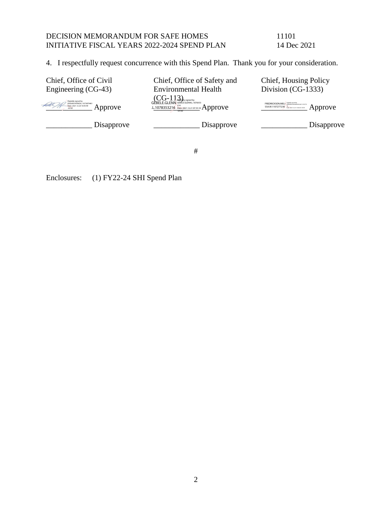## DECISION MEMORANDUM FOR SAFE HOMES 11101<br>INITIATIVE FISCAL YEARS 2022-2024 SPEND PLAN 14 Dec 2021 INITIATIVE FISCAL YEARS 2022-2024 SPEND PLAN

4. I respectfully request concurrence with this Spend Plan. Thank you for your consideration.

| Chief, Office of Civil<br>Engineering (CG-43)               | Chief, Office of Safety and<br><b>Environmental Health</b>                                                | Chief, Housing Policy<br>Division (CG-1333)                         |
|-------------------------------------------------------------|-----------------------------------------------------------------------------------------------------------|---------------------------------------------------------------------|
| Digitally signed by<br>Date: 2021.12.20 16:43:49<br>Approve | $\operatorname{GEBELE.GLENN}$ GEBELE.GLENN GEBELE.CLENN<br>L.1078353216 Date: 2021.12.21 07:35:10 Approve | FREDRICKSON.MELI Digitally signed by<br>SSA.M.1107277230<br>Approve |
| Disapprove                                                  | Disapprove                                                                                                | Disapprove                                                          |

#

Enclosures: (1) FY22-24 SHI Spend Plan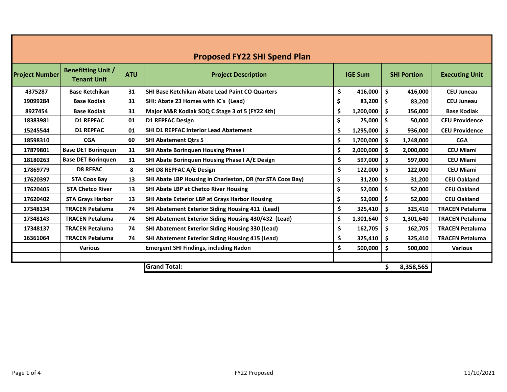| <b>Proposed FY22 SHI Spend Plan</b> |                                                 |            |                                                            |    |                |                      |           |                        |  |  |  |  |  |  |  |  |  |  |  |  |  |  |  |  |  |  |                    |                       |
|-------------------------------------|-------------------------------------------------|------------|------------------------------------------------------------|----|----------------|----------------------|-----------|------------------------|--|--|--|--|--|--|--|--|--|--|--|--|--|--|--|--|--|--|--------------------|-----------------------|
| <b>Project Number</b>               | <b>Benefitting Unit /</b><br><b>Tenant Unit</b> | <b>ATU</b> | <b>Project Description</b>                                 |    | <b>IGE Sum</b> |                      |           |                        |  |  |  |  |  |  |  |  |  |  |  |  |  |  |  |  |  |  | <b>SHI Portion</b> | <b>Executing Unit</b> |
| 4375287                             | <b>Base Ketchikan</b>                           | 31         | <b>SHI Base Ketchikan Abate Lead Paint CO Quarters</b>     | \$ | 416,000        | \$                   | 416,000   | <b>CEU Juneau</b>      |  |  |  |  |  |  |  |  |  |  |  |  |  |  |  |  |  |  |                    |                       |
| 19099284                            | <b>Base Kodiak</b>                              | 31         | SHI: Abate 23 Homes with IC's (Lead)                       | \$ | 83,200         | $\boldsymbol{\zeta}$ | 83,200    | <b>CEU Juneau</b>      |  |  |  |  |  |  |  |  |  |  |  |  |  |  |  |  |  |  |                    |                       |
| 8927454                             | <b>Base Kodiak</b>                              | 31         | Major M&R Kodiak SOQ C Stage 3 of 5 (FY22 4th)             | \$ | 1,200,000      | .s                   | 156,000   | <b>Base Kodiak</b>     |  |  |  |  |  |  |  |  |  |  |  |  |  |  |  |  |  |  |                    |                       |
| 18383981                            | <b>D1 REPFAC</b>                                | 01         | <b>D1 REPFAC Design</b>                                    | \$ | 75,000         | \$                   | 50,000    | <b>CEU Providence</b>  |  |  |  |  |  |  |  |  |  |  |  |  |  |  |  |  |  |  |                    |                       |
| 15245544                            | <b>D1 REPFAC</b>                                | 01         | <b>SHI D1 REPFAC Interior Lead Abatement</b>               | \$ | 1,295,000      | -S                   | 936,000   | <b>CEU Providence</b>  |  |  |  |  |  |  |  |  |  |  |  |  |  |  |  |  |  |  |                    |                       |
| 18598310                            | <b>CGA</b>                                      | 60         | <b>SHI Abatement Qtrs 5</b>                                | \$ | 1,700,000      | -S                   | 1,248,000 | <b>CGA</b>             |  |  |  |  |  |  |  |  |  |  |  |  |  |  |  |  |  |  |                    |                       |
| 17879801                            | <b>Base DET Boringuen</b>                       | 31         | <b>SHI Abate Borinquen Housing Phase I</b>                 | \$ | 2,000,000      | Ŝ                    | 2,000,000 | <b>CEU Miami</b>       |  |  |  |  |  |  |  |  |  |  |  |  |  |  |  |  |  |  |                    |                       |
| 18180263                            | <b>Base DET Boringuen</b>                       | 31         | SHI Abate Borinquen Housing Phase I A/E Design             | \$ | 597,000        | \$                   | 597,000   | <b>CEU Miami</b>       |  |  |  |  |  |  |  |  |  |  |  |  |  |  |  |  |  |  |                    |                       |
| 17869779                            | <b>D8 REFAC</b>                                 | 8          | SHI D8 REPFAC A/E Design                                   | \$ | 122,000        | \$                   | 122,000   | <b>CEU Miami</b>       |  |  |  |  |  |  |  |  |  |  |  |  |  |  |  |  |  |  |                    |                       |
| 17620397                            | <b>STA Coos Bay</b>                             | 13         | SHI Abate LBP Housing in Charleston, OR (for STA Coos Bay) | \$ | 31,200         | \$                   | 31,200    | <b>CEU Oakland</b>     |  |  |  |  |  |  |  |  |  |  |  |  |  |  |  |  |  |  |                    |                       |
| 17620405                            | <b>STA Chetco River</b>                         | 13         | <b>SHI Abate LBP at Chetco River Housing</b>               | \$ | 52,000         | \$                   | 52,000    | <b>CEU Oakland</b>     |  |  |  |  |  |  |  |  |  |  |  |  |  |  |  |  |  |  |                    |                       |
| 17620402                            | <b>STA Grays Harbor</b>                         | 13         | <b>SHI Abate Exterior LBP at Grays Harbor Housing</b>      | \$ | 52,000         | \$                   | 52,000    | <b>CEU Oakland</b>     |  |  |  |  |  |  |  |  |  |  |  |  |  |  |  |  |  |  |                    |                       |
| 17348134                            | <b>TRACEN Petaluma</b>                          | 74         | <b>SHI Abatement Exterior Siding Housing 411 (Lead)</b>    | \$ | 325,410        | $\mathsf{\$}$        | 325,410   | <b>TRACEN Petaluma</b> |  |  |  |  |  |  |  |  |  |  |  |  |  |  |  |  |  |  |                    |                       |
| 17348143                            | <b>TRACEN Petaluma</b>                          | 74         | SHI Abatement Exterior Siding Housing 430/432 (Lead)       | \$ | 1,301,640      | .\$                  | 1,301,640 | <b>TRACEN Petaluma</b> |  |  |  |  |  |  |  |  |  |  |  |  |  |  |  |  |  |  |                    |                       |
| 17348137                            | <b>TRACEN Petaluma</b>                          | 74         | <b>SHI Abatement Exterior Siding Housing 330 (Lead)</b>    | \$ | 162,705        | -S                   | 162,705   | <b>TRACEN Petaluma</b> |  |  |  |  |  |  |  |  |  |  |  |  |  |  |  |  |  |  |                    |                       |
| 16361064                            | <b>TRACEN Petaluma</b>                          | 74         | <b>SHI Abatement Exterior Siding Housing 415 (Lead)</b>    | \$ | 325,410        | -S                   | 325,410   | <b>TRACEN Petaluma</b> |  |  |  |  |  |  |  |  |  |  |  |  |  |  |  |  |  |  |                    |                       |
|                                     | <b>Various</b>                                  |            | <b>Emergent SHI Findings, including Radon</b>              | \$ | 500,000        | \$.                  | 500,000   | <b>Various</b>         |  |  |  |  |  |  |  |  |  |  |  |  |  |  |  |  |  |  |                    |                       |
|                                     |                                                 |            |                                                            |    |                |                      |           |                        |  |  |  |  |  |  |  |  |  |  |  |  |  |  |  |  |  |  |                    |                       |
|                                     | <b>Grand Total:</b>                             |            |                                                            |    |                |                      |           |                        |  |  |  |  |  |  |  |  |  |  |  |  |  |  |  |  |  |  |                    |                       |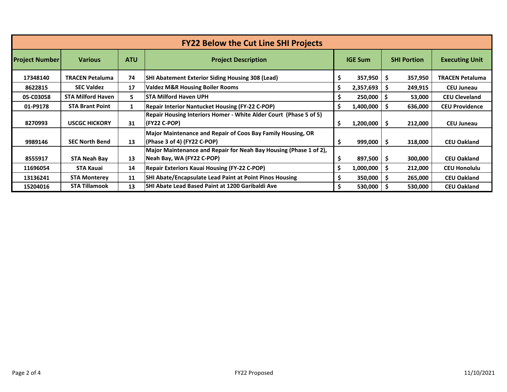| <b>FY22 Below the Cut Line SHI Projects</b> |                          |            |                                                                                                |    |                |     |         |                        |  |  |  |  |  |  |  |  |  |  |  |  |  |  |  |  |  |  |  |  |  |  |  |  |  |  |  |  |  |  |  |  |  |  |  |  |  |  |  |  |  |  |  |  |  |  |  |  |  |  |  |  |  |  |  |  |  |  |  |  |  |  |  |  |  |  |  |  |  |  |                    |                       |
|---------------------------------------------|--------------------------|------------|------------------------------------------------------------------------------------------------|----|----------------|-----|---------|------------------------|--|--|--|--|--|--|--|--|--|--|--|--|--|--|--|--|--|--|--|--|--|--|--|--|--|--|--|--|--|--|--|--|--|--|--|--|--|--|--|--|--|--|--|--|--|--|--|--|--|--|--|--|--|--|--|--|--|--|--|--|--|--|--|--|--|--|--|--|--|--|--------------------|-----------------------|
| <b>Project Number</b>                       | <b>Various</b>           | <b>ATU</b> | <b>Project Description</b>                                                                     |    | <b>IGE Sum</b> |     |         |                        |  |  |  |  |  |  |  |  |  |  |  |  |  |  |  |  |  |  |  |  |  |  |  |  |  |  |  |  |  |  |  |  |  |  |  |  |  |  |  |  |  |  |  |  |  |  |  |  |  |  |  |  |  |  |  |  |  |  |  |  |  |  |  |  |  |  |  |  |  |  | <b>SHI Portion</b> | <b>Executing Unit</b> |
| 17348140                                    | TRACEN Petaluma          | 74         | <b>SHI Abatement Exterior Siding Housing 308 (Lead)</b>                                        | \$ | 357,950        | ΙS  | 357,950 | <b>TRACEN Petaluma</b> |  |  |  |  |  |  |  |  |  |  |  |  |  |  |  |  |  |  |  |  |  |  |  |  |  |  |  |  |  |  |  |  |  |  |  |  |  |  |  |  |  |  |  |  |  |  |  |  |  |  |  |  |  |  |  |  |  |  |  |  |  |  |  |  |  |  |  |  |  |  |                    |                       |
| 8622815                                     | <b>SEC Valdez</b>        | 17         | <b>Valdez M&amp;R Housing Boiler Rooms</b>                                                     | \$ | 2,357,693      |     | 249,915 | <b>CEU Juneau</b>      |  |  |  |  |  |  |  |  |  |  |  |  |  |  |  |  |  |  |  |  |  |  |  |  |  |  |  |  |  |  |  |  |  |  |  |  |  |  |  |  |  |  |  |  |  |  |  |  |  |  |  |  |  |  |  |  |  |  |  |  |  |  |  |  |  |  |  |  |  |  |                    |                       |
| 05-C03058                                   | <b>STA Milford Haven</b> | 5          | <b>STA Milford Haven UPH</b>                                                                   | \$ | 250,000        |     | 53,000  | <b>CEU Cleveland</b>   |  |  |  |  |  |  |  |  |  |  |  |  |  |  |  |  |  |  |  |  |  |  |  |  |  |  |  |  |  |  |  |  |  |  |  |  |  |  |  |  |  |  |  |  |  |  |  |  |  |  |  |  |  |  |  |  |  |  |  |  |  |  |  |  |  |  |  |  |  |  |                    |                       |
| 01-P9178                                    | <b>STA Brant Point</b>   | 1          | <b>Repair Interior Nantucket Housing (FY-22 C-POP)</b>                                         | \$ | 1,400,000      |     | 636,000 | <b>CEU Providence</b>  |  |  |  |  |  |  |  |  |  |  |  |  |  |  |  |  |  |  |  |  |  |  |  |  |  |  |  |  |  |  |  |  |  |  |  |  |  |  |  |  |  |  |  |  |  |  |  |  |  |  |  |  |  |  |  |  |  |  |  |  |  |  |  |  |  |  |  |  |  |  |                    |                       |
| 8270993                                     | <b>USCGC HICKORY</b>     | 31         | Repair Housing Interiors Homer - White Alder Court (Phase 5 of 5)<br>(FY22 C-POP)              | \$ | 1,200,000      | ΙS  | 212,000 | <b>CEU Juneau</b>      |  |  |  |  |  |  |  |  |  |  |  |  |  |  |  |  |  |  |  |  |  |  |  |  |  |  |  |  |  |  |  |  |  |  |  |  |  |  |  |  |  |  |  |  |  |  |  |  |  |  |  |  |  |  |  |  |  |  |  |  |  |  |  |  |  |  |  |  |  |  |                    |                       |
| 9989146                                     | <b>SEC North Bend</b>    | 13         | Major Maintenance and Repair of Coos Bay Family Housing, OR<br>(Phase 3 of 4) (FY22 C-POP)     | \$ | 999,000        | l S | 318,000 | <b>CEU Oakland</b>     |  |  |  |  |  |  |  |  |  |  |  |  |  |  |  |  |  |  |  |  |  |  |  |  |  |  |  |  |  |  |  |  |  |  |  |  |  |  |  |  |  |  |  |  |  |  |  |  |  |  |  |  |  |  |  |  |  |  |  |  |  |  |  |  |  |  |  |  |  |  |                    |                       |
| 8555917                                     | <b>STA Neah Bay</b>      | 13         | Major Maintenance and Repair for Neah Bay Housing (Phase 1 of 2),<br>Neah Bay, WA (FY22 C-POP) | \$ | 897,500        | ΙS  | 300,000 | <b>CEU Oakland</b>     |  |  |  |  |  |  |  |  |  |  |  |  |  |  |  |  |  |  |  |  |  |  |  |  |  |  |  |  |  |  |  |  |  |  |  |  |  |  |  |  |  |  |  |  |  |  |  |  |  |  |  |  |  |  |  |  |  |  |  |  |  |  |  |  |  |  |  |  |  |  |                    |                       |
| 11696054                                    | <b>STA Kauai</b>         | 14         | <b>Repair Exteriors Kauai Housing (FY-22 C-POP)</b>                                            | \$ | 1,000,000      | - S | 212,000 | <b>CEU Honolulu</b>    |  |  |  |  |  |  |  |  |  |  |  |  |  |  |  |  |  |  |  |  |  |  |  |  |  |  |  |  |  |  |  |  |  |  |  |  |  |  |  |  |  |  |  |  |  |  |  |  |  |  |  |  |  |  |  |  |  |  |  |  |  |  |  |  |  |  |  |  |  |  |                    |                       |
| 13136241                                    | <b>STA Monterey</b>      | 11         | <b>SHI Abate/Encapsulate Lead Paint at Point Pinos Housing</b>                                 | \$ | 350,000        | - S | 265,000 | <b>CEU Oakland</b>     |  |  |  |  |  |  |  |  |  |  |  |  |  |  |  |  |  |  |  |  |  |  |  |  |  |  |  |  |  |  |  |  |  |  |  |  |  |  |  |  |  |  |  |  |  |  |  |  |  |  |  |  |  |  |  |  |  |  |  |  |  |  |  |  |  |  |  |  |  |  |                    |                       |
| 15204016                                    | <b>STA Tillamook</b>     | 13         | <b>SHI Abate Lead Based Paint at 1200 Garibaldi Ave</b>                                        | Ś  | 530,000        |     | 530,000 | <b>CEU Oakland</b>     |  |  |  |  |  |  |  |  |  |  |  |  |  |  |  |  |  |  |  |  |  |  |  |  |  |  |  |  |  |  |  |  |  |  |  |  |  |  |  |  |  |  |  |  |  |  |  |  |  |  |  |  |  |  |  |  |  |  |  |  |  |  |  |  |  |  |  |  |  |  |                    |                       |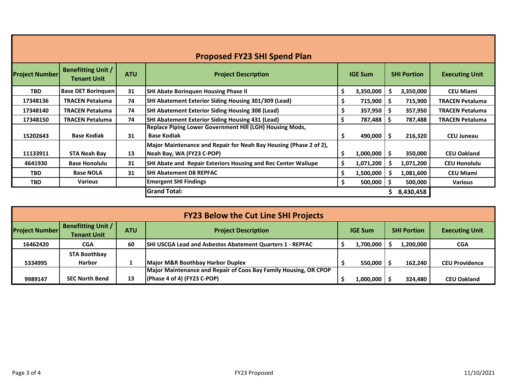| <b>Proposed FY23 SHI Spend Plan</b> |                                                 |            |                                                                                                |     |                |    |                    |                        |  |  |  |
|-------------------------------------|-------------------------------------------------|------------|------------------------------------------------------------------------------------------------|-----|----------------|----|--------------------|------------------------|--|--|--|
| <b>Project Number</b>               | <b>Benefitting Unit /</b><br><b>Tenant Unit</b> | <b>ATU</b> | <b>Project Description</b>                                                                     |     | <b>IGE Sum</b> |    | <b>SHI Portion</b> | <b>Executing Unit</b>  |  |  |  |
| <b>TBD</b>                          | <b>Base DET Boringuen</b>                       | 31         | <b>SHI Abate Borinquen Housing Phase II</b>                                                    | S   | 3,350,000      | -S | 3,350,000          | <b>CEU Miami</b>       |  |  |  |
| 17348136                            | <b>TRACEN Petaluma</b>                          | 74         | <b>SHI Abatement Exterior Siding Housing 301/309 (Lead)</b>                                    |     | $715,900$   \$ |    | 715,900            | TRACEN Petaluma        |  |  |  |
| 17348140                            | <b>TRACEN Petaluma</b>                          | 74         | <b>SHI Abatement Exterior Siding Housing 308 (Lead)</b>                                        | S   | 357,950        | -S | 357,950            | <b>TRACEN Petaluma</b> |  |  |  |
| 17348150                            | <b>TRACEN Petaluma</b>                          | 74         | <b>SHI Abatement Exterior Siding Housing 431 (Lead)</b>                                        |     | 787,488        | -S | 787,488            | <b>TRACEN Petaluma</b> |  |  |  |
| 15202643                            | <b>Base Kodiak</b>                              | 31         | Replace Piping Lower Government Hill (LGH) Housing Mods,<br><b>Base Kodiak</b>                 |     | 490,000        | .s | 216,320            | <b>CEU Juneau</b>      |  |  |  |
| 11133911                            | <b>STA Neah Bay</b>                             | 13         | Major Maintenance and Repair for Neah Bay Housing (Phase 2 of 2),<br>Neah Bay, WA (FY23 C-POP) | Ŝ   | 1,000,000      | Ŝ. | 350,000            | <b>CEU Oakland</b>     |  |  |  |
| 4641930                             | <b>Base Honolulu</b>                            | 31         | SHI Abate and Repair Exteriors Housing and Rec Center Wailupe                                  | \$. | 1,071,200      |    | 1,071,200          | <b>CEU Honolulu</b>    |  |  |  |
| <b>TBD</b>                          | <b>Base NOLA</b>                                | 31         | <b>SHI Abatement D8 REPFAC</b>                                                                 | Ŝ.  | 1,500,000      | -S | 1,081,600          | <b>CEU Miami</b>       |  |  |  |
| <b>TBD</b>                          | Various                                         |            | <b>Emergent SHI Findings</b>                                                                   | S   | 500,000        | Ŝ. | 500,000            | <b>Various</b>         |  |  |  |
|                                     |                                                 |            | <b>Grand Total:</b>                                                                            |     |                |    | 8,430,458          |                        |  |  |  |

| <b>FY23 Below the Cut Line SHI Projects</b> |                                                 |            |                                                                                                   |  |                |  |                    |                       |  |  |
|---------------------------------------------|-------------------------------------------------|------------|---------------------------------------------------------------------------------------------------|--|----------------|--|--------------------|-----------------------|--|--|
| <b>Project Number</b>                       | <b>Benefitting Unit /</b><br><b>Tenant Unit</b> | <b>ATU</b> | <b>Project Description</b>                                                                        |  | <b>IGE Sum</b> |  | <b>SHI Portion</b> | <b>Executing Unit</b> |  |  |
| 16462420                                    | <b>CGA</b>                                      | 60         | <b>SHI USCGA Lead and Asbestos Abatement Quarters 1 - REPFAC</b>                                  |  | 1,700,000      |  | 1,200,000          | <b>CGA</b>            |  |  |
|                                             | <b>STA Boothbay</b>                             |            |                                                                                                   |  |                |  |                    |                       |  |  |
| 5334995                                     | <b>Harbor</b>                                   |            | Major M&R Boothbay Harbor Duplex                                                                  |  | 550.000        |  | 162,240            | <b>CEU Providence</b> |  |  |
| 9989147                                     | <b>SEC North Bend</b>                           | 13         | Major Maintenance and Repair of Coos Bay Family Housing, OR CPOP<br>$(Phase 4 of 4) (FY23 C-POP)$ |  | 1,000,000      |  | 324,480            | <b>CEU Oakland</b>    |  |  |